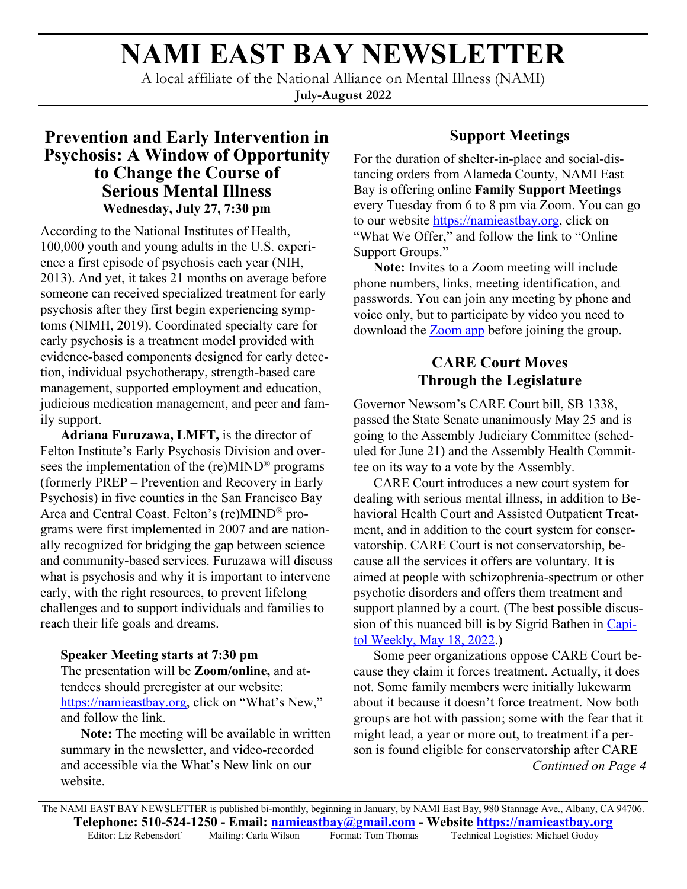# **NAMI EAST BAY NEWSLETTER**

A local affiliate of the National Alliance on Mental Illness (NAMI) **July-August 2022**

# **Prevention and Early Intervention in Psychosis: A Window of Opportunity to Change the Course of Serious Mental Illness Wednesday, July 27, 7:30 pm**

According to the National Institutes of Health, 100,000 youth and young adults in the U.S. experience a first episode of psychosis each year (NIH, 2013). And yet, it takes 21 months on average before someone can received specialized treatment for early psychosis after they first begin experiencing symptoms (NIMH, 2019). Coordinated specialty care for early psychosis is a treatment model provided with evidence-based components designed for early detection, individual psychotherapy, strength-based care management, supported employment and education, judicious medication management, and peer and family support.

**Adriana Furuzawa, LMFT,** is the director of Felton Institute's Early Psychosis Division and oversees the implementation of the (re)MIND® programs (formerly PREP – Prevention and Recovery in Early Psychosis) in five counties in the San Francisco Bay Area and Central Coast. Felton's (re)MIND® programs were first implemented in 2007 and are nationally recognized for bridging the gap between science and community-based services. Furuzawa will discuss what is psychosis and why it is important to intervene early, with the right resources, to prevent lifelong challenges and to support individuals and families to reach their life goals and dreams.

#### **Speaker Meeting starts at 7:30 pm**

The presentation will be **Zoom/online,** and attendees should preregister at our website: [https://namieastbay.org,](https://namieastbay.org) click on "What's New," and follow the link.

**Note:** The meeting will be available in written summary in the newsletter, and video-recorded and accessible via the What's New link on our website.

## **Support Meetings**

For the duration of shelter-in-place and social-distancing orders from Alameda County, NAMI East Bay is offering online **Family Support Meetings** every Tuesday from 6 to 8 pm via Zoom. You can go to our website<https://namieastbay.org>, click on "What We Offer," and follow the link to "Online Support Groups."

**Note:** Invites to a Zoom meeting will include phone numbers, links, meeting identification, and passwords. You can join any meeting by phone and voice only, but to participate by video you need to download the [Zoom app](https://zoom.us/download) before joining the group.

# **CARE Court Moves Through the Legislature**

Governor Newsom's CARE Court bill, SB 1338, passed the State Senate unanimously May 25 and is going to the Assembly Judiciary Committee (scheduled for June 21) and the Assembly Health Committee on its way to a vote by the Assembly.

CARE Court introduces a new court system for dealing with serious mental illness, in addition to Behavioral Health Court and Assisted Outpatient Treatment, and in addition to the court system for conservatorship. CARE Court is not conservatorship, because all the services it offers are voluntary. It is aimed at people with schizophrenia-spectrum or other psychotic disorders and offers them treatment and support planned by a court. (The best possible discussion of this nuanced bill is by Sigrid Bathen in [Capi](https://capitolweekly.net/helping-mentally-ill-people-the-debate-over-involuntary-treatment/?fbclid=IwAR1XsGLSJdcetCjCoGE0fjPVC6HKdDz0BOZzTIEC-Z1rFrssfjenRpEIss4)[tol Weekly, May 18, 2022](https://capitolweekly.net/helping-mentally-ill-people-the-debate-over-involuntary-treatment/?fbclid=IwAR1XsGLSJdcetCjCoGE0fjPVC6HKdDz0BOZzTIEC-Z1rFrssfjenRpEIss4).)

Some peer organizations oppose CARE Court because they claim it forces treatment. Actually, it does not. Some family members were initially lukewarm about it because it doesn't force treatment. Now both groups are hot with passion; some with the fear that it might lead, a year or more out, to treatment if a person is found eligible for conservatorship after CARE *Continued on Page 4*

The NAMI EAST BAY NEWSLETTER is published bi-monthly, beginning in January, by NAMI East Bay, 980 Stannage Ave., Albany, CA 94706. **Telephone: 510-524-1250 - Email: namieastbay@gmail.com - Website https://namieastbay.org** Editor: Liz Rebensdorf Mailing: Carla Wilson Format: Tom Thomas Technical Logistics: Michael Godoy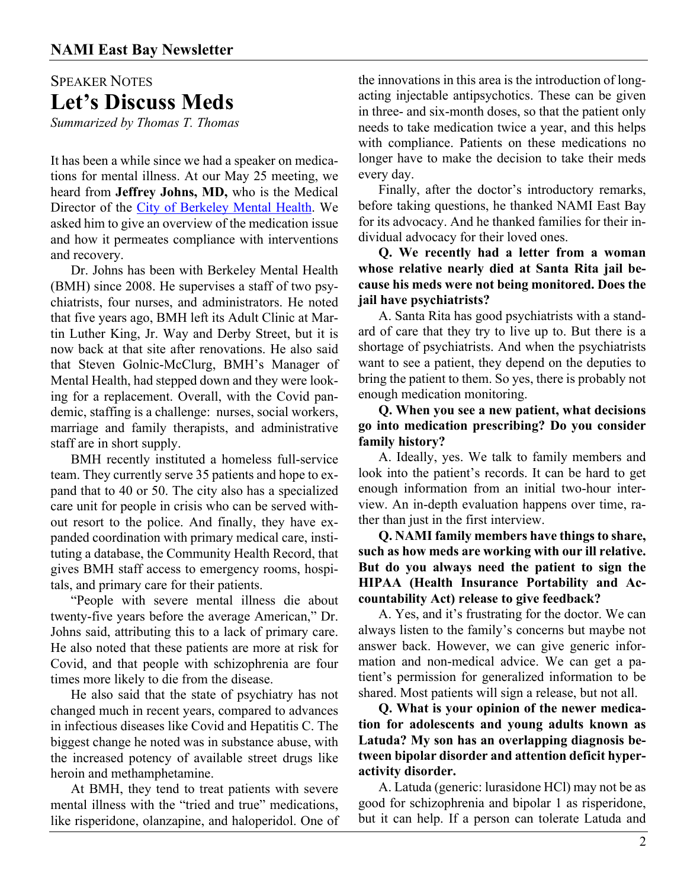# SPEAKER NOTES **Let's Discuss Meds**

*Summarized by Thomas T. Thomas*

It has been a while since we had a speaker on medications for mental illness. At our May 25 meeting, we heard from **Jeffrey Johns, MD,** who is the Medical Director of the [City of Berkeley Mental Health.](https://berkeleycity.networkofcare.org/mh/services/index.aspx) We asked him to give an overview of the medication issue and how it permeates compliance with interventions and recovery.

Dr. Johns has been with Berkeley Mental Health (BMH) since 2008. He supervises a staff of two psychiatrists, four nurses, and administrators. He noted that five years ago, BMH left its Adult Clinic at Martin Luther King, Jr. Way and Derby Street, but it is now back at that site after renovations. He also said that Steven Golnic-McClurg, BMH's Manager of Mental Health, had stepped down and they were looking for a replacement. Overall, with the Covid pandemic, staffing is a challenge: nurses, social workers, marriage and family therapists, and administrative staff are in short supply.

BMH recently instituted a homeless full-service team. They currently serve 35 patients and hope to expand that to 40 or 50. The city also has a specialized care unit for people in crisis who can be served without resort to the police. And finally, they have expanded coordination with primary medical care, instituting a database, the Community Health Record, that gives BMH staff access to emergency rooms, hospitals, and primary care for their patients.

"People with severe mental illness die about twenty-five years before the average American," Dr. Johns said, attributing this to a lack of primary care. He also noted that these patients are more at risk for Covid, and that people with schizophrenia are four times more likely to die from the disease.

He also said that the state of psychiatry has not changed much in recent years, compared to advances in infectious diseases like Covid and Hepatitis C. The biggest change he noted was in substance abuse, with the increased potency of available street drugs like heroin and methamphetamine.

At BMH, they tend to treat patients with severe mental illness with the "tried and true" medications, like risperidone, olanzapine, and haloperidol. One of the innovations in this area is the introduction of longacting injectable antipsychotics. These can be given in three- and six-month doses, so that the patient only needs to take medication twice a year, and this helps with compliance. Patients on these medications no longer have to make the decision to take their meds every day.

Finally, after the doctor's introductory remarks, before taking questions, he thanked NAMI East Bay for its advocacy. And he thanked families for their individual advocacy for their loved ones.

**Q. We recently had a letter from a woman whose relative nearly died at Santa Rita jail because his meds were not being monitored. Does the jail have psychiatrists?**

A. Santa Rita has good psychiatrists with a standard of care that they try to live up to. But there is a shortage of psychiatrists. And when the psychiatrists want to see a patient, they depend on the deputies to bring the patient to them. So yes, there is probably not enough medication monitoring.

#### **Q. When you see a new patient, what decisions go into medication prescribing? Do you consider family history?**

A. Ideally, yes. We talk to family members and look into the patient's records. It can be hard to get enough information from an initial two-hour interview. An in-depth evaluation happens over time, rather than just in the first interview.

**Q. NAMI family members have things to share, such as how meds are working with our ill relative. But do you always need the patient to sign the HIPAA (Health Insurance Portability and Accountability Act) release to give feedback?**

A. Yes, and it's frustrating for the doctor. We can always listen to the family's concerns but maybe not answer back. However, we can give generic information and non-medical advice. We can get a patient's permission for generalized information to be shared. Most patients will sign a release, but not all.

**Q. What is your opinion of the newer medication for adolescents and young adults known as Latuda? My son has an overlapping diagnosis between bipolar disorder and attention deficit hyperactivity disorder.**

A. Latuda (generic: lurasidone HCl) may not be as good for schizophrenia and bipolar 1 as risperidone, but it can help. If a person can tolerate Latuda and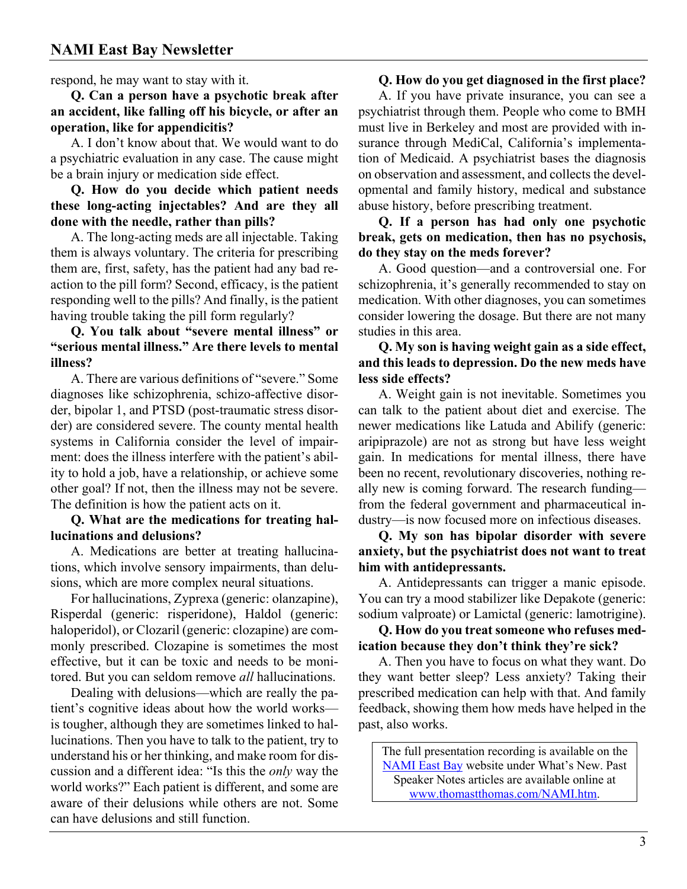respond, he may want to stay with it.

**Q. Can a person have a psychotic break after an accident, like falling off his bicycle, or after an operation, like for appendicitis?**

A. I don't know about that. We would want to do a psychiatric evaluation in any case. The cause might be a brain injury or medication side effect.

**Q. How do you decide which patient needs these long-acting injectables? And are they all done with the needle, rather than pills?**

A. The long-acting meds are all injectable. Taking them is always voluntary. The criteria for prescribing them are, first, safety, has the patient had any bad reaction to the pill form? Second, efficacy, is the patient responding well to the pills? And finally, is the patient having trouble taking the pill form regularly?

#### **Q. You talk about "severe mental illness" or "serious mental illness." Are there levels to mental illness?**

A. There are various definitions of "severe." Some diagnoses like schizophrenia, schizo-affective disorder, bipolar 1, and PTSD (post-traumatic stress disorder) are considered severe. The county mental health systems in California consider the level of impairment: does the illness interfere with the patient's ability to hold a job, have a relationship, or achieve some other goal? If not, then the illness may not be severe. The definition is how the patient acts on it.

#### **Q. What are the medications for treating hallucinations and delusions?**

A. Medications are better at treating hallucinations, which involve sensory impairments, than delusions, which are more complex neural situations.

For hallucinations, Zyprexa (generic: olanzapine), Risperdal (generic: risperidone), Haldol (generic: haloperidol), or Clozaril (generic: clozapine) are commonly prescribed. Clozapine is sometimes the most effective, but it can be toxic and needs to be monitored. But you can seldom remove *all* hallucinations.

Dealing with delusions—which are really the patient's cognitive ideas about how the world works is tougher, although they are sometimes linked to hallucinations. Then you have to talk to the patient, try to understand his or her thinking, and make room for discussion and a different idea: "Is this the *only* way the world works?" Each patient is different, and some are aware of their delusions while others are not. Some can have delusions and still function.

#### **Q. How do you get diagnosed in the first place?**

A. If you have private insurance, you can see a psychiatrist through them. People who come to BMH must live in Berkeley and most are provided with insurance through MediCal, California's implementation of Medicaid. A psychiatrist bases the diagnosis on observation and assessment, and collects the developmental and family history, medical and substance abuse history, before prescribing treatment.

#### **Q. If a person has had only one psychotic break, gets on medication, then has no psychosis, do they stay on the meds forever?**

A. Good question—and a controversial one. For schizophrenia, it's generally recommended to stay on medication. With other diagnoses, you can sometimes consider lowering the dosage. But there are not many studies in this area.

#### **Q. My son is having weight gain as a side effect, and this leads to depression. Do the new meds have less side effects?**

A. Weight gain is not inevitable. Sometimes you can talk to the patient about diet and exercise. The newer medications like Latuda and Abilify (generic: aripiprazole) are not as strong but have less weight gain. In medications for mental illness, there have been no recent, revolutionary discoveries, nothing really new is coming forward. The research funding from the federal government and pharmaceutical industry—is now focused more on infectious diseases.

**Q. My son has bipolar disorder with severe anxiety, but the psychiatrist does not want to treat him with antidepressants.**

A. Antidepressants can trigger a manic episode. You can try a mood stabilizer like Depakote (generic: sodium valproate) or Lamictal (generic: lamotrigine).

**Q. How do you treat someone who refuses medication because they don't think they're sick?**

A. Then you have to focus on what they want. Do they want better sleep? Less anxiety? Taking their prescribed medication can help with that. And family feedback, showing them how meds have helped in the past, also works.

The full presentation recording is available on the [NAMI East Bay](https://namieastbay.org) website under What's New. Past Speaker Notes articles are available online at www.thomastthomas.com/NAMI.htm.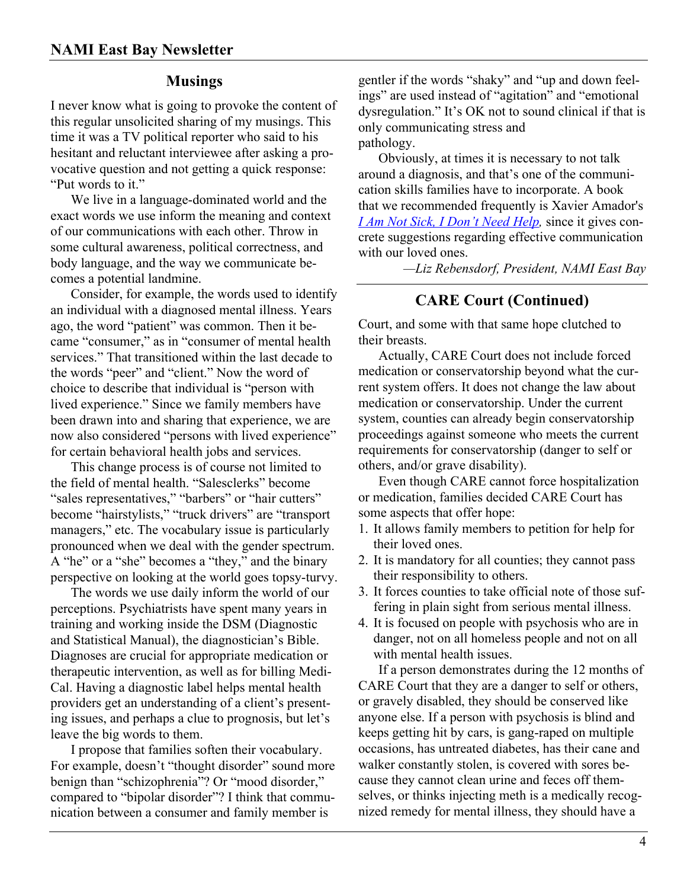#### **Musings**

I never know what is going to provoke the content of this regular unsolicited sharing of my musings. This time it was a TV political reporter who said to his hesitant and reluctant interviewee after asking a provocative question and not getting a quick response: "Put words to it."

We live in a language-dominated world and the exact words we use inform the meaning and context of our communications with each other. Throw in some cultural awareness, political correctness, and body language, and the way we communicate becomes a potential landmine.

Consider, for example, the words used to identify an individual with a diagnosed mental illness. Years ago, the word "patient" was common. Then it became "consumer," as in "consumer of mental health services." That transitioned within the last decade to the words "peer" and "client." Now the word of choice to describe that individual is "person with lived experience." Since we family members have been drawn into and sharing that experience, we are now also considered "persons with lived experience" for certain behavioral health jobs and services.

This change process is of course not limited to the field of mental health. "Salesclerks" become "sales representatives," "barbers" or "hair cutters" become "hairstylists," "truck drivers" are "transport managers," etc. The vocabulary issue is particularly pronounced when we deal with the gender spectrum. A "he" or a "she" becomes a "they," and the binary perspective on looking at the world goes topsy-turvy.

The words we use daily inform the world of our perceptions. Psychiatrists have spent many years in training and working inside the DSM (Diagnostic and Statistical Manual), the diagnostician's Bible. Diagnoses are crucial for appropriate medication or therapeutic intervention, as well as for billing Medi-Cal. Having a diagnostic label helps mental health providers get an understanding of a client's presenting issues, and perhaps a clue to prognosis, but let's leave the big words to them.

I propose that families soften their vocabulary. For example, doesn't "thought disorder" sound more benign than "schizophrenia"? Or "mood disorder," compared to "bipolar disorder"? I think that communication between a consumer and family member is

gentler if the words "shaky" and "up and down feelings" are used instead of "agitation" and "emotional dysregulation." It's OK not to sound clinical if that is only communicating stress and pathology.

Obviously, at times it is necessary to not talk around a diagnosis, and that's one of the communication skills families have to incorporate. A book that we recommended frequently is Xavier Amador's *[I Am Not Sick, I Don't Need Help,](https://www.amazon.com/Sick-Dont-Someone-Accept-Treatment/dp/0985206705/)* since it gives concrete suggestions regarding effective communication with our loved ones.

*—Liz Rebensdorf, President, NAMI East Bay*

## **CARE Court (Continued)**

Court, and some with that same hope clutched to their breasts.

Actually, CARE Court does not include forced medication or conservatorship beyond what the current system offers. It does not change the law about medication or conservatorship. Under the current system, counties can already begin conservatorship proceedings against someone who meets the current requirements for conservatorship (danger to self or others, and/or grave disability).

Even though CARE cannot force hospitalization or medication, families decided CARE Court has some aspects that offer hope:

- 1. It allows family members to petition for help for their loved ones.
- 2. It is mandatory for all counties; they cannot pass their responsibility to others.
- 3. It forces counties to take official note of those suffering in plain sight from serious mental illness.
- 4. It is focused on people with psychosis who are in danger, not on all homeless people and not on all with mental health issues.

If a person demonstrates during the 12 months of CARE Court that they are a danger to self or others, or gravely disabled, they should be conserved like anyone else. If a person with psychosis is blind and keeps getting hit by cars, is gang-raped on multiple occasions, has untreated diabetes, has their cane and walker constantly stolen, is covered with sores because they cannot clean urine and feces off themselves, or thinks injecting meth is a medically recognized remedy for mental illness, they should have a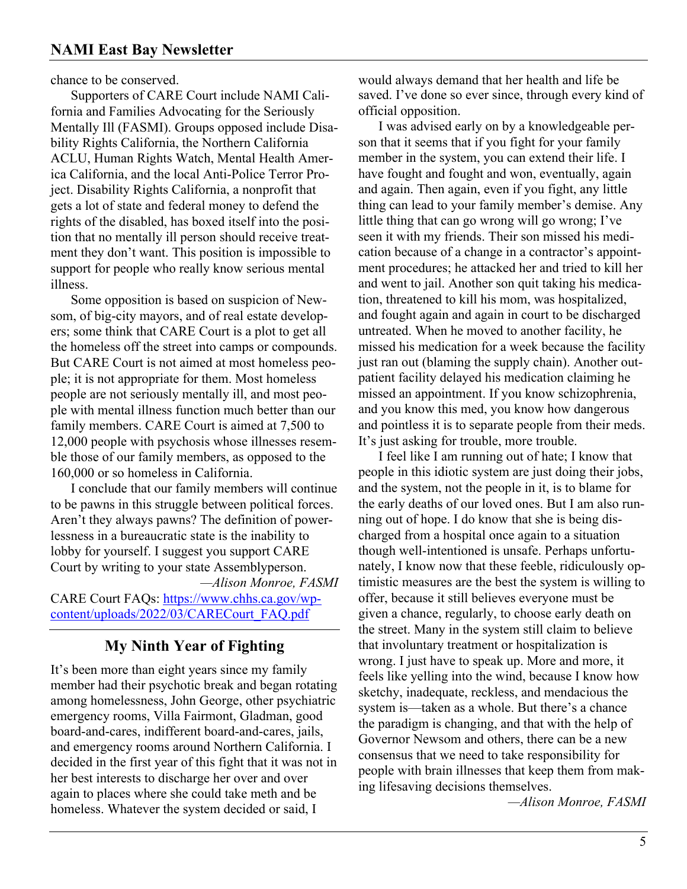chance to be conserved.

Supporters of CARE Court include NAMI California and Families Advocating for the Seriously Mentally Ill (FASMI). Groups opposed include Disability Rights California, the Northern California ACLU, Human Rights Watch, Mental Health America California, and the local Anti-Police Terror Project. Disability Rights California, a nonprofit that gets a lot of state and federal money to defend the rights of the disabled, has boxed itself into the position that no mentally ill person should receive treatment they don't want. This position is impossible to support for people who really know serious mental illness.

Some opposition is based on suspicion of Newsom, of big-city mayors, and of real estate developers; some think that CARE Court is a plot to get all the homeless off the street into camps or compounds. But CARE Court is not aimed at most homeless people; it is not appropriate for them. Most homeless people are not seriously mentally ill, and most people with mental illness function much better than our family members. CARE Court is aimed at 7,500 to 12,000 people with psychosis whose illnesses resemble those of our family members, as opposed to the 160,000 or so homeless in California.

I conclude that our family members will continue to be pawns in this struggle between political forces. Aren't they always pawns? The definition of powerlessness in a bureaucratic state is the inability to lobby for yourself. I suggest you support CARE Court by writing to your state Assemblyperson. *—Alison Monroe, FASMI*

CARE Court FAQs: [https://www.chhs.ca.gov/wp](https://www.chhs.ca.gov/wp-content/uploads/2022/03/CARECourt_FAQ.pdf)[content/uploads/2022/03/CARECourt\\_FAQ.pdf](https://www.chhs.ca.gov/wp-content/uploads/2022/03/CARECourt_FAQ.pdf)

## **My Ninth Year of Fighting**

It's been more than eight years since my family member had their psychotic break and began rotating among homelessness, John George, other psychiatric emergency rooms, Villa Fairmont, Gladman, good board-and-cares, indifferent board-and-cares, jails, and emergency rooms around Northern California. I decided in the first year of this fight that it was not in her best interests to discharge her over and over again to places where she could take meth and be homeless. Whatever the system decided or said, I

would always demand that her health and life be saved. I've done so ever since, through every kind of official opposition.

I was advised early on by a knowledgeable person that it seems that if you fight for your family member in the system, you can extend their life. I have fought and fought and won, eventually, again and again. Then again, even if you fight, any little thing can lead to your family member's demise. Any little thing that can go wrong will go wrong; I've seen it with my friends. Their son missed his medication because of a change in a contractor's appointment procedures; he attacked her and tried to kill her and went to jail. Another son quit taking his medication, threatened to kill his mom, was hospitalized, and fought again and again in court to be discharged untreated. When he moved to another facility, he missed his medication for a week because the facility just ran out (blaming the supply chain). Another outpatient facility delayed his medication claiming he missed an appointment. If you know schizophrenia, and you know this med, you know how dangerous and pointless it is to separate people from their meds. It's just asking for trouble, more trouble.

I feel like I am running out of hate; I know that people in this idiotic system are just doing their jobs, and the system, not the people in it, is to blame for the early deaths of our loved ones. But I am also running out of hope. I do know that she is being discharged from a hospital once again to a situation though well-intentioned is unsafe. Perhaps unfortunately, I know now that these feeble, ridiculously optimistic measures are the best the system is willing to offer, because it still believes everyone must be given a chance, regularly, to choose early death on the street. Many in the system still claim to believe that involuntary treatment or hospitalization is wrong. I just have to speak up. More and more, it feels like yelling into the wind, because I know how sketchy, inadequate, reckless, and mendacious the system is—taken as a whole. But there's a chance the paradigm is changing, and that with the help of Governor Newsom and others, there can be a new consensus that we need to take responsibility for people with brain illnesses that keep them from making lifesaving decisions themselves.

*—Alison Monroe, FASMI*